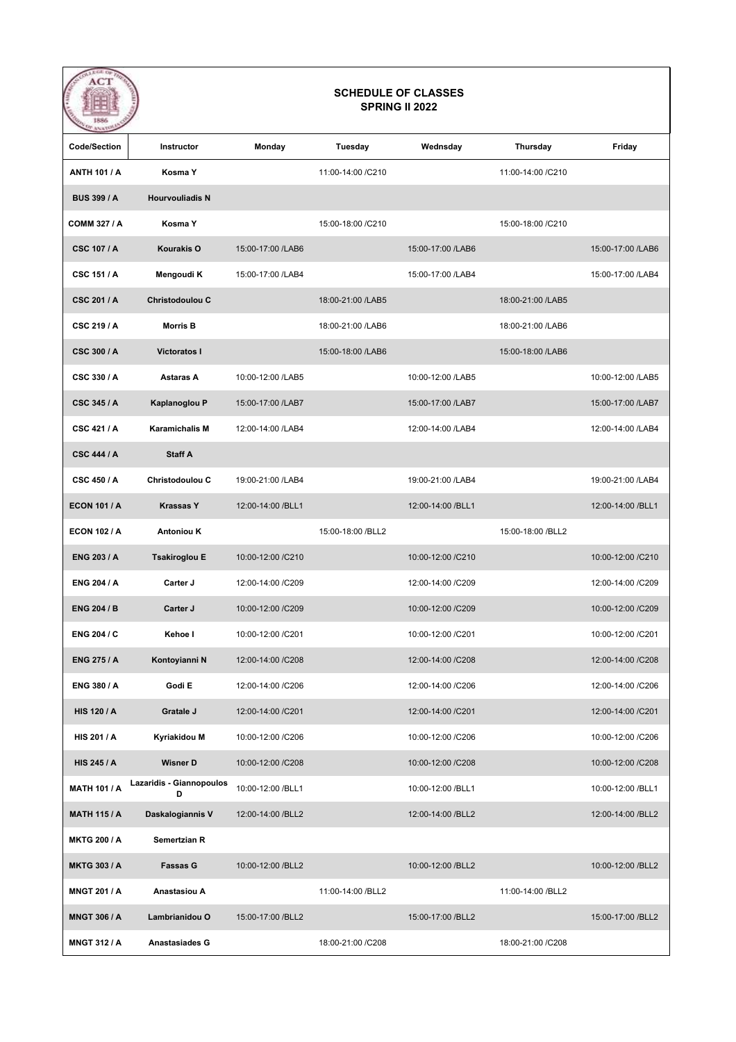| AC I                | <b>SCHEDULE OF CLASSES</b><br><b>SPRING II 2022</b> |                    |                    |                    |                    |                    |  |  |  |
|---------------------|-----------------------------------------------------|--------------------|--------------------|--------------------|--------------------|--------------------|--|--|--|
| <b>Code/Section</b> | Instructor                                          | Monday             | Tuesday            | Wednsday           | Thursday           | Friday             |  |  |  |
| <b>ANTH 101 / A</b> | Kosma Y                                             |                    | 11:00-14:00 / C210 |                    | 11:00-14:00 / C210 |                    |  |  |  |
| <b>BUS 399 / A</b>  | <b>Hourvouliadis N</b>                              |                    |                    |                    |                    |                    |  |  |  |
| <b>COMM 327 / A</b> | Kosma Y                                             |                    | 15:00-18:00 /C210  |                    | 15:00-18:00 /C210  |                    |  |  |  |
| <b>CSC 107 / A</b>  | Kourakis O                                          | 15:00-17:00 /LAB6  |                    | 15:00-17:00 /LAB6  |                    | 15:00-17:00 /LAB6  |  |  |  |
| <b>CSC 151 / A</b>  | Mengoudi K                                          | 15:00-17:00 /LAB4  |                    | 15:00-17:00 /LAB4  |                    | 15:00-17:00 /LAB4  |  |  |  |
| <b>CSC 201/A</b>    | <b>Christodoulou C</b>                              |                    | 18:00-21:00 /LAB5  |                    | 18:00-21:00 /LAB5  |                    |  |  |  |
| CSC 219 / A         | <b>Morris B</b>                                     |                    | 18:00-21:00 /LAB6  |                    | 18:00-21:00 /LAB6  |                    |  |  |  |
| <b>CSC 300 / A</b>  | <b>Victoratos I</b>                                 |                    | 15:00-18:00 /LAB6  |                    | 15:00-18:00 /LAB6  |                    |  |  |  |
| CSC 330 / A         | Astaras A                                           | 10:00-12:00 /LAB5  |                    | 10:00-12:00 /LAB5  |                    | 10:00-12:00 /LAB5  |  |  |  |
| <b>CSC 345 / A</b>  | Kaplanoglou P                                       | 15:00-17:00 /LAB7  |                    | 15:00-17:00 /LAB7  |                    | 15:00-17:00 /LAB7  |  |  |  |
| <b>CSC 421 / A</b>  | <b>Karamichalis M</b>                               | 12:00-14:00 /LAB4  |                    | 12:00-14:00 /LAB4  |                    | 12:00-14:00 /LAB4  |  |  |  |
| <b>CSC 444 / A</b>  | <b>Staff A</b>                                      |                    |                    |                    |                    |                    |  |  |  |
| <b>CSC 450 / A</b>  | <b>Christodoulou C</b>                              | 19:00-21:00 /LAB4  |                    | 19:00-21:00 /LAB4  |                    | 19:00-21:00 /LAB4  |  |  |  |
| <b>ECON 101 / A</b> | <b>Krassas Y</b>                                    | 12:00-14:00 /BLL1  |                    | 12:00-14:00 /BLL1  |                    | 12:00-14:00 /BLL1  |  |  |  |
| <b>ECON 102 / A</b> | <b>Antoniou K</b>                                   |                    | 15:00-18:00 /BLL2  |                    | 15:00-18:00 /BLL2  |                    |  |  |  |
| <b>ENG 203 / A</b>  | <b>Tsakiroglou E</b>                                | 10:00-12:00 /C210  |                    | 10:00-12:00 /C210  |                    | 10:00-12:00 /C210  |  |  |  |
| <b>ENG 204 / A</b>  | Carter J                                            | 12:00-14:00 /C209  |                    | 12:00-14:00 /C209  |                    | 12:00-14:00 /C209  |  |  |  |
| <b>ENG 204 / B</b>  | Carter J                                            | 10:00-12:00 /C209  |                    | 10:00-12:00 /C209  |                    | 10:00-12:00 /C209  |  |  |  |
| <b>ENG 204 / C</b>  | Kehoe I                                             | 10:00-12:00 /C201  |                    | 10:00-12:00 /C201  |                    | 10:00-12:00 /C201  |  |  |  |
| <b>ENG 275 / A</b>  | Kontoyianni N                                       | 12:00-14:00 /C208  |                    | 12:00-14:00 /C208  |                    | 12:00-14:00 / C208 |  |  |  |
| ENG 380 / A         | Godi E                                              | 12:00-14:00 /C206  |                    | 12:00-14:00 /C206  |                    | 12:00-14:00 / C206 |  |  |  |
| <b>HIS 120 / A</b>  | Gratale J                                           | 12:00-14:00 / C201 |                    | 12:00-14:00 / C201 |                    | 12:00-14:00 / C201 |  |  |  |
| <b>HIS 201 / A</b>  | Kyriakidou M                                        | 10:00-12:00 /C206  |                    | 10:00-12:00 /C206  |                    | 10:00-12:00 /C206  |  |  |  |
| <b>HIS 245 / A</b>  | <b>Wisner D</b>                                     | 10:00-12:00 /C208  |                    | 10:00-12:00 /C208  |                    | 10:00-12:00 /C208  |  |  |  |
| <b>MATH 101 / A</b> | Lazaridis - Giannopoulos<br>D                       | 10:00-12:00 /BLL1  |                    | 10:00-12:00 /BLL1  |                    | 10:00-12:00 /BLL1  |  |  |  |
| <b>MATH 115 / A</b> | Daskalogiannis V                                    | 12:00-14:00 /BLL2  |                    | 12:00-14:00 /BLL2  |                    | 12:00-14:00 /BLL2  |  |  |  |
| <b>MKTG 200 / A</b> | Semertzian R                                        |                    |                    |                    |                    |                    |  |  |  |
| <b>MKTG 303 / A</b> | <b>Fassas G</b>                                     | 10:00-12:00 /BLL2  |                    | 10:00-12:00 /BLL2  |                    | 10:00-12:00 /BLL2  |  |  |  |
| MNGT 201 / A        | Anastasiou A                                        |                    | 11:00-14:00 /BLL2  |                    | 11:00-14:00 /BLL2  |                    |  |  |  |
| <b>MNGT 306 / A</b> | Lambrianidou O                                      | 15:00-17:00 /BLL2  |                    | 15:00-17:00 /BLL2  |                    | 15:00-17:00 /BLL2  |  |  |  |
| <b>MNGT 312 / A</b> | Anastasiades G                                      |                    | 18:00-21:00 /C208  |                    | 18:00-21:00 /C208  |                    |  |  |  |